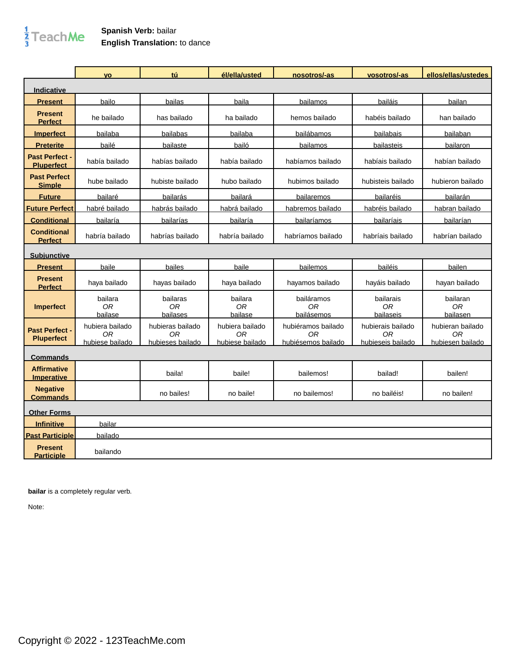## $\frac{1}{3}$ TeachMe

## **Spanish Verb:** bailar **English Translation:** to dance

|                                            | <b>VO</b>                                | tú                                         | él/ella/usted                            | nosotros/-as                                   | vosotros/-as                                 | ellos/ellas/ustedes                                    |
|--------------------------------------------|------------------------------------------|--------------------------------------------|------------------------------------------|------------------------------------------------|----------------------------------------------|--------------------------------------------------------|
| <b>Indicative</b>                          |                                          |                                            |                                          |                                                |                                              |                                                        |
| <b>Present</b>                             | bailo                                    | bailas                                     | baila                                    | bailamos                                       | bailáis                                      | bailan                                                 |
| <b>Present</b><br><b>Perfect</b>           | he bailado                               | has bailado                                | ha bailado                               | hemos bailado                                  | habéis bailado                               | han bailado                                            |
| <b>Imperfect</b>                           | bailaba                                  | bailabas                                   | bailaba                                  | bailábamos                                     | bailabais                                    | bailaban                                               |
| <b>Preterite</b>                           | bailé                                    | bailaste                                   | bailó                                    | <b>bailamos</b>                                | bailasteis                                   | bailaron                                               |
| <b>Past Perfect -</b><br><b>Pluperfect</b> | había bailado                            | habías bailado                             | había bailado                            | habíamos bailado                               | habíais bailado                              | habían bailado                                         |
| <b>Past Perfect</b><br><b>Simple</b>       | hube bailado                             | hubiste bailado                            | hubo bailado                             | hubimos bailado                                | hubisteis bailado                            | hubieron bailado                                       |
| <b>Future</b>                              | bailaré                                  | bailarás                                   | bailará                                  | bailaremos                                     | bailaréis                                    | bailarán                                               |
| <b>Future Perfect</b>                      | habré bailado                            | habrás bailado                             | habrá bailado                            | habremos bailado                               | habréis bailado                              | habran bailado                                         |
| <b>Conditional</b>                         | bailaría                                 | bailarías                                  | bailaría                                 | bailaríamos                                    | bailaríais                                   | bailarían                                              |
| <b>Conditional</b><br><b>Perfect</b>       | habría bailado                           | habrías bailado                            | habría bailado                           | habríamos bailado                              | habríais bailado                             | habrían bailado                                        |
| <b>Subjunctive</b>                         |                                          |                                            |                                          |                                                |                                              |                                                        |
| <b>Present</b>                             | baile                                    | bailes                                     | baile                                    | bailemos                                       | bailéis                                      | bailen                                                 |
| <b>Present</b><br><b>Perfect</b>           | haya bailado                             | hayas bailado                              | haya bailado                             | hayamos bailado                                | hayáis bailado                               | hayan bailado                                          |
| <b>Imperfect</b>                           | bailara<br>0R<br>bailase                 | bailaras<br>0R<br>bailases                 | bailara<br>0R<br>bailase                 | bailáramos<br>0R<br>bailásemos                 | bailarais<br>0R<br>bailaseis                 | bailaran<br>0R<br>bailasen                             |
| <b>Past Perfect -</b><br><b>Pluperfect</b> | hubiera bailado<br>0R<br>hubiese bailado | hubieras bailado<br>0R<br>hubieses bailado | hubiera bailado<br>0R<br>hubiese bailado | hubiéramos bailado<br>ОR<br>hubiésemos bailado | hubierais bailado<br>0R<br>hubieseis bailado | hubieran bailado<br>0 <sub>R</sub><br>hubiesen bailado |
| Commands                                   |                                          |                                            |                                          |                                                |                                              |                                                        |
| <b>Affirmative</b><br><b>Imperative</b>    |                                          | baila!                                     | baile!                                   | bailemos!                                      | bailad!                                      | bailen!                                                |
| <b>Negative</b><br><b>Commands</b>         |                                          | no bailes!                                 | no baile!                                | no bailemos!                                   | no bailéis!                                  | no bailen!                                             |
| <b>Other Forms</b>                         |                                          |                                            |                                          |                                                |                                              |                                                        |
| <b>Infinitive</b>                          | bailar                                   |                                            |                                          |                                                |                                              |                                                        |
| <b>Past Participle</b>                     | bailado                                  |                                            |                                          |                                                |                                              |                                                        |
| <b>Present</b><br><b>Participle</b>        | bailando                                 |                                            |                                          |                                                |                                              |                                                        |

**bailar** is a completely regular verb.

Note: